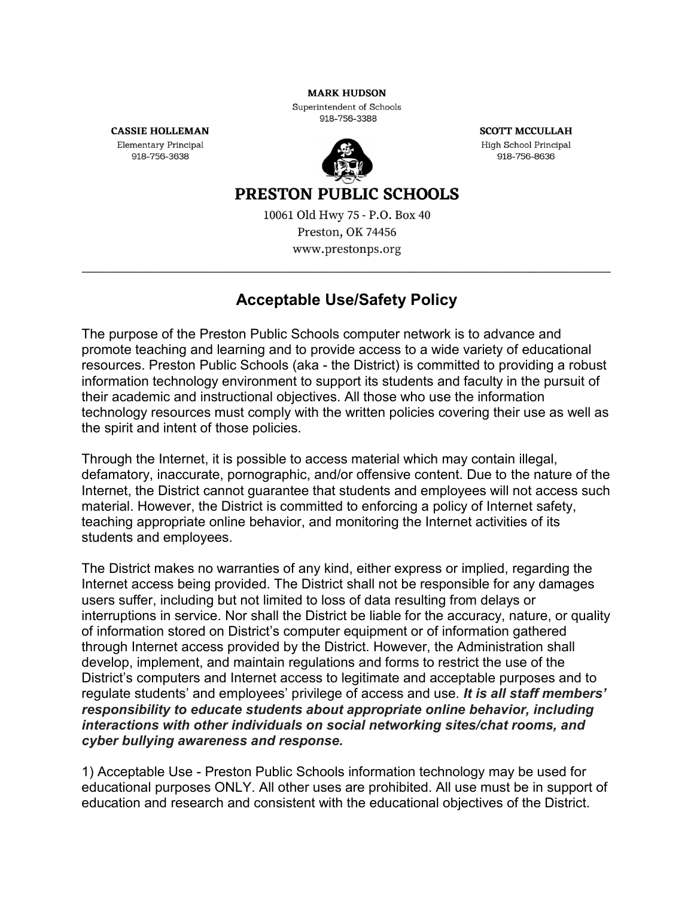**MARK HUDSON** 

Superintendent of Schools 918-756-3388

**CASSIE HOLLEMAN** 

Elementary Principal 918-756-3638



**SCOTT MCCULLAH** High School Principal 918-756-8636

## **PRESTON PUBLIC SCHOOLS**

10061 Old Hwy 75 - P.O. Box 40 Preston, OK 74456 www.prestonps.org

## **Acceptable Use/Safety Policy**

The purpose of the Preston Public Schools computer network is to advance and promote teaching and learning and to provide access to a wide variety of educational resources. Preston Public Schools (aka - the District) is committed to providing a robust information technology environment to support its students and faculty in the pursuit of their academic and instructional objectives. All those who use the information technology resources must comply with the written policies covering their use as well as the spirit and intent of those policies.

Through the Internet, it is possible to access material which may contain illegal, defamatory, inaccurate, pornographic, and/or offensive content. Due to the nature of the Internet, the District cannot guarantee that students and employees will not access such material. However, the District is committed to enforcing a policy of Internet safety, teaching appropriate online behavior, and monitoring the Internet activities of its students and employees.

The District makes no warranties of any kind, either express or implied, regarding the Internet access being provided. The District shall not be responsible for any damages users suffer, including but not limited to loss of data resulting from delays or interruptions in service. Nor shall the District be liable for the accuracy, nature, or quality of information stored on District's computer equipment or of information gathered through Internet access provided by the District. However, the Administration shall develop, implement, and maintain regulations and forms to restrict the use of the District's computers and Internet access to legitimate and acceptable purposes and to regulate students' and employees' privilege of access and use. *It is all staff members' responsibility to educate students about appropriate online behavior, including interactions with other individuals on social networking sites/chat rooms, and cyber bullying awareness and response.*

1) Acceptable Use - Preston Public Schools information technology may be used for educational purposes ONLY. All other uses are prohibited. All use must be in support of education and research and consistent with the educational objectives of the District.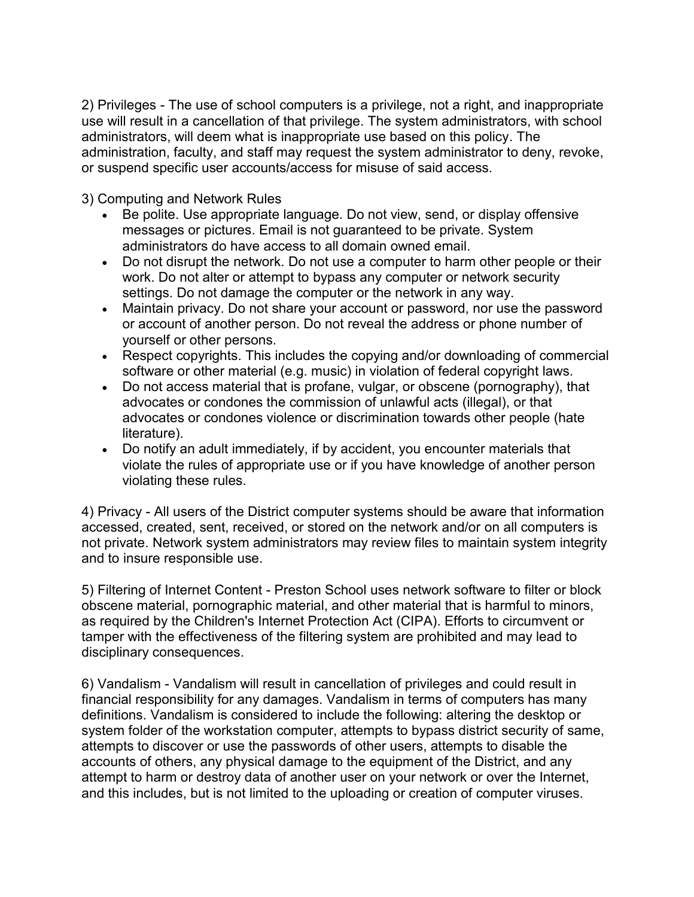2) Privileges - The use of school computers is a privilege, not a right, and inappropriate use will result in a cancellation of that privilege. The system administrators, with school administrators, will deem what is inappropriate use based on this policy. The administration, faculty, and staff may request the system administrator to deny, revoke, or suspend specific user accounts/access for misuse of said access.

3) Computing and Network Rules

- Be polite. Use appropriate language. Do not view, send, or display offensive messages or pictures. Email is not guaranteed to be private. System administrators do have access to all domain owned email.
- Do not disrupt the network. Do not use a computer to harm other people or their work. Do not alter or attempt to bypass any computer or network security settings. Do not damage the computer or the network in any way.
- Maintain privacy. Do not share your account or password, nor use the password or account of another person. Do not reveal the address or phone number of yourself or other persons.
- Respect copyrights. This includes the copying and/or downloading of commercial software or other material (e.g. music) in violation of federal copyright laws.
- Do not access material that is profane, vulgar, or obscene (pornography), that advocates or condones the commission of unlawful acts (illegal), or that advocates or condones violence or discrimination towards other people (hate literature).
- Do notify an adult immediately, if by accident, you encounter materials that violate the rules of appropriate use or if you have knowledge of another person violating these rules.

4) Privacy - All users of the District computer systems should be aware that information accessed, created, sent, received, or stored on the network and/or on all computers is not private. Network system administrators may review files to maintain system integrity and to insure responsible use.

5) Filtering of Internet Content - Preston School uses network software to filter or block obscene material, pornographic material, and other material that is harmful to minors, as required by the Children's Internet Protection Act (CIPA). Efforts to circumvent or tamper with the effectiveness of the filtering system are prohibited and may lead to disciplinary consequences.

6) Vandalism - Vandalism will result in cancellation of privileges and could result in financial responsibility for any damages. Vandalism in terms of computers has many definitions. Vandalism is considered to include the following: altering the desktop or system folder of the workstation computer, attempts to bypass district security of same, attempts to discover or use the passwords of other users, attempts to disable the accounts of others, any physical damage to the equipment of the District, and any attempt to harm or destroy data of another user on your network or over the Internet, and this includes, but is not limited to the uploading or creation of computer viruses.